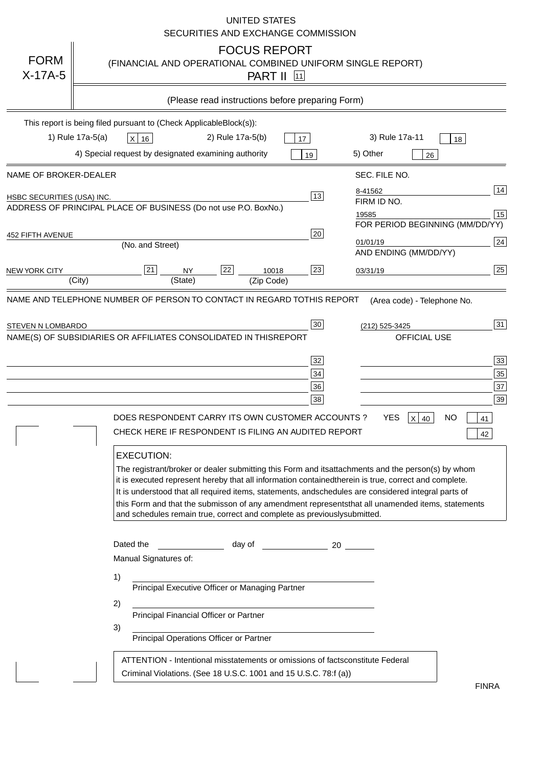|                                   | <b>UNITED STATES</b><br>SECURITIES AND EXCHANGE COMMISSION                                                                                                                                                                                                                                                                                                                                                                                                                                                                                                                                                                                                                                                                                                                                 |
|-----------------------------------|--------------------------------------------------------------------------------------------------------------------------------------------------------------------------------------------------------------------------------------------------------------------------------------------------------------------------------------------------------------------------------------------------------------------------------------------------------------------------------------------------------------------------------------------------------------------------------------------------------------------------------------------------------------------------------------------------------------------------------------------------------------------------------------------|
| <b>FORM</b><br>$X-17A-5$          | <b>FOCUS REPORT</b><br>(FINANCIAL AND OPERATIONAL COMBINED UNIFORM SINGLE REPORT)<br><b>PART II</b> 11                                                                                                                                                                                                                                                                                                                                                                                                                                                                                                                                                                                                                                                                                     |
|                                   | (Please read instructions before preparing Form)                                                                                                                                                                                                                                                                                                                                                                                                                                                                                                                                                                                                                                                                                                                                           |
|                                   | This report is being filed pursuant to (Check Applicable<br>$Block(s)$ :<br>3) Rule 17a-11<br>1) Rule 17a-5(a)<br>2) Rule 17a-5(b)<br>$X$ 16<br>17<br>18<br>4) Special request by designated examining authority<br>5) Other<br>19                                                                                                                                                                                                                                                                                                                                                                                                                                                                                                                                                         |
| NAME OF BROKER-DEALER             | 26<br>SEC. FILE NO.                                                                                                                                                                                                                                                                                                                                                                                                                                                                                                                                                                                                                                                                                                                                                                        |
| <b>HSBC SECURITIES (USA) INC.</b> | 14<br>8-41562<br>13<br>FIRM ID NO.<br>ADDRESS OF PRINCIPAL PLACE OF BUSINESS (Do not use P.O. Box<br>No.)<br>$\boxed{15}$<br>19585<br>FOR PERIOD BEGINNING (MM/DD/YY)                                                                                                                                                                                                                                                                                                                                                                                                                                                                                                                                                                                                                      |
| <b>452 FIFTH AVENUE</b>           | 20<br>24<br>01/01/19<br>(No. and Street)<br>AND ENDING (MM/DD/YY)                                                                                                                                                                                                                                                                                                                                                                                                                                                                                                                                                                                                                                                                                                                          |
| <b>NEW YORK CITY</b>              | 25<br>22<br>21<br>23<br><b>NY</b><br>10018<br>03/31/19<br>(City)<br>(State)<br>(Zip Code)                                                                                                                                                                                                                                                                                                                                                                                                                                                                                                                                                                                                                                                                                                  |
|                                   | NAME(S) OF SUBSIDIARIES OR AFFILIATES CONSOLIDATED IN THIS<br><b>REPORT</b><br><b>OFFICIAL USE</b><br>$\overline{33}$<br>32<br>35<br>34<br>37<br>36<br>39<br>38<br>DOES RESPONDENT CARRY ITS OWN CUSTOMER ACCOUNTS ?<br><b>YES</b><br>$X$ 40<br><b>NO</b><br>41<br>CHECK HERE IF RESPONDENT IS FILING AN AUDITED REPORT<br>42<br><b>EXECUTION:</b><br>The registrant/broker or dealer submitting this Form and its<br>attachments and the person(s) by whom<br>it is executed represent hereby that all information contained<br>therein is true, correct and complete.<br>It is understood that all required items, statements, and<br>schedules are considered integral parts of<br>this Form and that the submisson of any amendment represents<br>that all unamended items, statements |
|                                   | and schedules remain true, correct and complete as previously<br>submitted.<br>Dated the<br>day of<br>20<br>Manual Signatures of:<br>1)<br>Principal Executive Officer or Managing Partner<br>2)<br>Principal Financial Officer or Partner<br>3)<br>Principal Operations Officer or Partner<br>ATTENTION - Intentional misstatements or omissions of facts<br>constitute Federal                                                                                                                                                                                                                                                                                                                                                                                                           |
|                                   | Criminal Violations. (See 18 U.S.C. 1001 and 15 U.S.C. 78:f (a)<br>$\lambda$<br><b>FINRA</b>                                                                                                                                                                                                                                                                                                                                                                                                                                                                                                                                                                                                                                                                                               |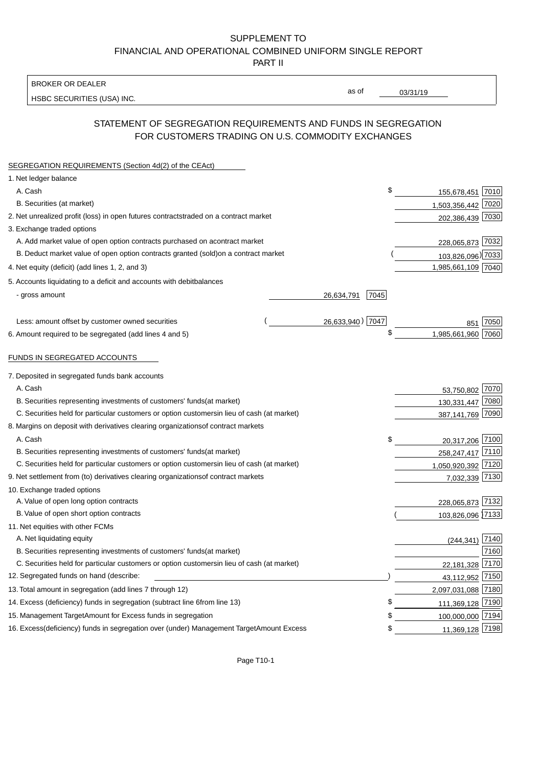BROKER OR DEALER

HSBC SECURITIES (USA) INC.

03/31/19

as of

## STATEMENT OF SEGREGATION REQUIREMENTS AND FUNDS IN SEGREGATION FOR CUSTOMERS TRADING ON U.S. COMMODITY EXCHANGES

| SEGREGATION REQUIREMENTS (Section 4d(2) of the CEAct)                                          |                    |                    |      |
|------------------------------------------------------------------------------------------------|--------------------|--------------------|------|
| 1. Net ledger balance                                                                          |                    |                    |      |
| A. Cash                                                                                        | \$                 | 155,678,451 7010   |      |
| B. Securities (at market)                                                                      |                    | 1,503,356,442 7020 |      |
| 2. Net unrealized profit (loss) in open futures contracts<br>traded on a contract market       |                    | 202,386,439 7030   |      |
| 3. Exchange traded options                                                                     |                    |                    |      |
| A. Add market value of open option contracts purchased on a<br>contract market                 |                    | 228,065,873 7032   |      |
| B. Deduct market value of open option contracts granted (sold)<br>on a contract market         |                    | 103,826,096) 7033  |      |
| 4. Net equity (deficit) (add lines 1, 2, and 3)                                                |                    | 1,985,661,109 7040 |      |
| 5. Accounts liquidating to a deficit and accounts with debit<br>balances                       |                    |                    |      |
| - gross amount                                                                                 | 7045<br>26,634,791 |                    |      |
|                                                                                                |                    |                    |      |
| Less: amount offset by customer owned securities                                               | 26,633,940) 7047   | 851                | 7050 |
| 6. Amount required to be segregated (add lines 4 and 5)                                        | \$                 | 1,985,661,960 7060 |      |
|                                                                                                |                    |                    |      |
| FUNDS IN SEGREGATED ACCOUNTS                                                                   |                    |                    |      |
| 7. Deposited in segregated funds bank accounts                                                 |                    |                    |      |
| A. Cash                                                                                        |                    | 53,750,802 7070    |      |
| B. Securities representing investments of customers' funds<br>(at market)                      |                    | 130,331,447 7080   |      |
| C. Securities held for particular customers or option customers<br>in lieu of cash (at market) |                    | 387,141,769 7090   |      |
| 8. Margins on deposit with derivatives clearing organizations<br>of contract markets           |                    |                    |      |
| A. Cash                                                                                        | \$                 | 20,317,206 7100    |      |
| B. Securities representing investments of customers' funds<br>(at market)                      |                    | 258,247,417 7110   |      |
| C. Securities held for particular customers or option customers<br>in lieu of cash (at market) |                    | 1,050,920,392 7120 |      |
| 9. Net settlement from (to) derivatives clearing organizations<br>of contract markets          |                    | 7,032,339 7130     |      |
| 10. Exchange traded options                                                                    |                    |                    |      |
| A. Value of open long option contracts                                                         |                    | 228,065,873 7132   |      |
| B. Value of open short option contracts                                                        |                    | 103,826,096 7133   |      |
| 11. Net equities with other FCMs                                                               |                    |                    |      |
| A. Net liquidating equity                                                                      |                    | $(244, 341)$ 7140  |      |
| B. Securities representing investments of customers' funds<br>(at market)                      |                    |                    | 7160 |
| C. Securities held for particular customers or option customers<br>in lieu of cash (at market) |                    | 22,181,328 7170    |      |
| 12. Segregated funds on hand (describe:                                                        |                    | 43,112,952 7150    |      |
| 13. Total amount in segregation (add lines 7 through 12)                                       |                    | 2,097,031,088 7180 |      |
| 14. Excess (deficiency) funds in segregation (subtract line 6 from line 13)                    | \$                 | 111,369,128 7190   |      |
| 15. Management Target Amount for Excess funds in segregation                                   | \$                 | 100,000,000 7194   |      |
| 16. Excess (deficiency) funds in segregation over (under) Management Target Amount Excess      | \$                 | 11,369,128 7198    |      |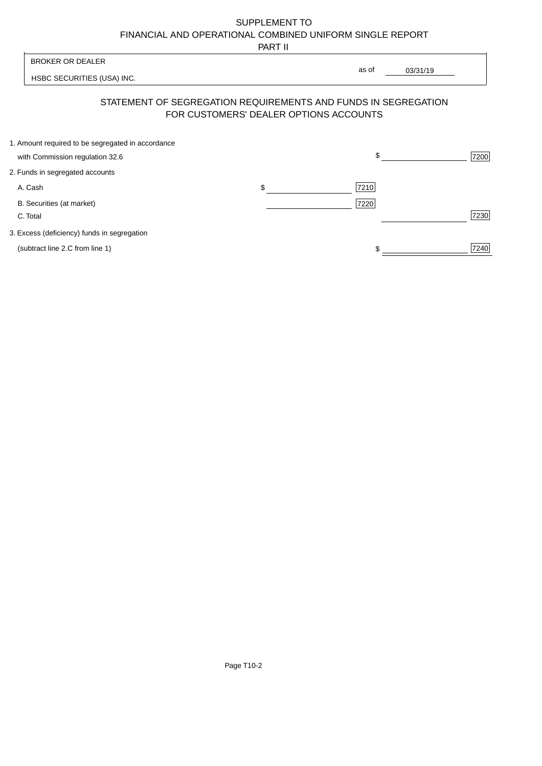PART II

| <b>BROKER OR DEALER</b>                           |                                                                                                          | as of | 03/31/19 |
|---------------------------------------------------|----------------------------------------------------------------------------------------------------------|-------|----------|
| HSBC SECURITIES (USA) INC.                        |                                                                                                          |       |          |
|                                                   | STATEMENT OF SEGREGATION REQUIREMENTS AND FUNDS IN SEGREGATION<br>FOR CUSTOMERS' DEALER OPTIONS ACCOUNTS |       |          |
| 1. Amount required to be segregated in accordance |                                                                                                          |       |          |
| with Commission regulation 32.6                   |                                                                                                          |       | 7200     |
| 2. Funds in segregated accounts                   |                                                                                                          |       |          |
| A. Cash                                           | \$                                                                                                       | 7210  |          |
| B. Securities (at market)                         |                                                                                                          | 7220  |          |
| C. Total                                          |                                                                                                          |       | 7230     |
|                                                   |                                                                                                          |       |          |

3. Excess (deficiency) funds in segregation

(subtract line 2.C from line 1)  $\frac{1}{240}$  $\frac{1}{1}$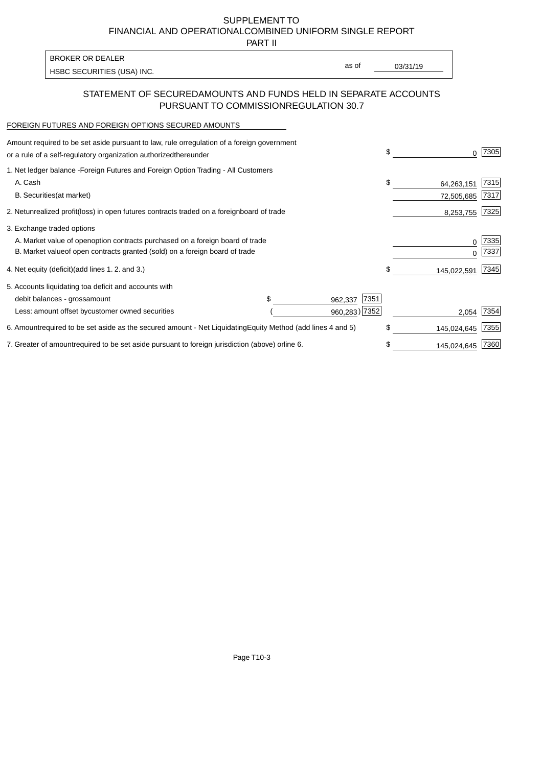PART II

as of

HSBC SECURITIES (USA) INC. The state of the second second second second second second second second second second second second second second second second second second second second second second second second second sec

BROKER OR DEALER

## STATEMENT OF SECURED AMOUNTS AND FUNDS HELD IN SEPARATE ACCOUNTS PURSUANT TO COMMISSION REGULATION 30.7

#### FOREIGN FUTURES AND FOREIGN OPTIONS SECURED AMOUNTS

| Amount required to be set aside pursuant to law, rule or<br>regulation of a foreign government<br>or a rule of a self-regulatory organization authorized<br>thereunder                       |                                   |                                  | \$                             | 7305          |
|----------------------------------------------------------------------------------------------------------------------------------------------------------------------------------------------|-----------------------------------|----------------------------------|--------------------------------|---------------|
| 1. Net ledger balance - Foreign Futures and Foreign Option Trading - All Customers<br>A. Cash<br><b>B.</b> Securities<br>(at market)                                                         |                                   |                                  | \$<br>64,263,151<br>72,505,685 | 7315 <br>7317 |
| unrealized profit (loss) in open futures contracts traded on a foreign board of trade<br>2. Net                                                                                              |                                   |                                  | 8,253,755                      | 7325          |
| 3. Exchange traded options<br>A. Market value of open option contracts purchased on a foreign board of trade<br>B. Market value of open contracts granted (sold) on a foreign board of trade |                                   |                                  | $\Omega$                       | 7335<br>7337  |
| 4. Net equity (deficit)<br>(add lines 1.2. and 3.)                                                                                                                                           |                                   |                                  | \$<br>145,022,591              | 7345          |
| 5. Accounts liquidating to<br>a deficit and accounts with<br>debit balances - gross<br>amount<br>Less: amount offset by<br>customer owned securities                                         |                                   | 7351<br>962,337<br>960,283) 7352 | 2,054                          | 7354          |
| 6. Amount required to be set aside as the secured amount - Net Liquidating                                                                                                                   | Equity Method (add lines 4 and 5) |                                  | \$<br>145,024,645              | 7355          |
| 7. Greater of amount required to be set aside pursuant to foreign jurisdiction (above) or line 6.                                                                                            |                                   |                                  | 145,024,645                    | 7360          |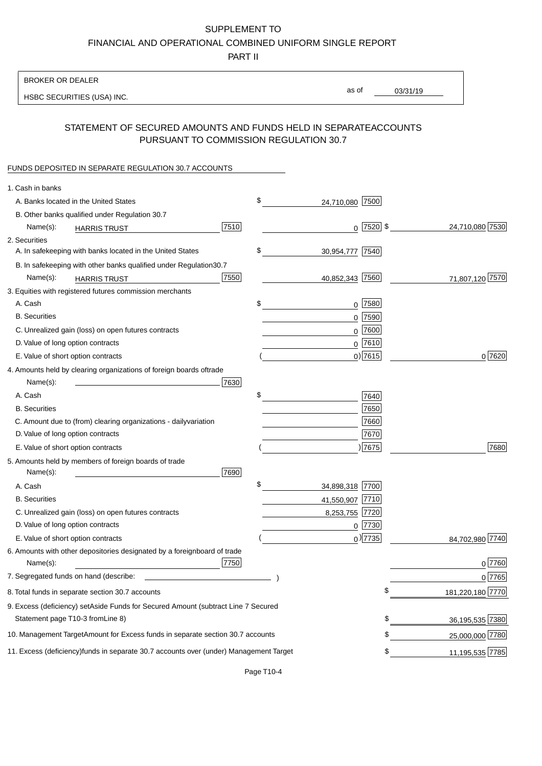PART II

| <b>BROKER OR DEALER</b>                                                                          |                       |                                |
|--------------------------------------------------------------------------------------------------|-----------------------|--------------------------------|
| HSBC SECURITIES (USA) INC.                                                                       | as of                 | 03/31/19                       |
| STATEMENT OF SECURED AMOUNTS AND FUNDS HELD IN SEPARATE                                          |                       | <b>ACCOUNTS</b>                |
| PURSUANT TO COMMISSION REGULATION 30.7                                                           |                       |                                |
| FUNDS DEPOSITED IN SEPARATE REGULATION 30.7 ACCOUNTS                                             |                       |                                |
| 1. Cash in banks                                                                                 |                       |                                |
| A. Banks located in the United States                                                            | \$<br>24,710,080 7500 |                                |
| B. Other banks qualified under Regulation 30.7                                                   |                       |                                |
| 7510<br>Name(s):<br><b>HARRIS TRUST</b>                                                          |                       | $0$ 7520 \$<br>24,710,080 7530 |
| 2. Securities                                                                                    |                       |                                |
| A. In safekeeping with banks located in the United States                                        | \$<br>30,954,777 7540 |                                |
| B. In safekeeping with other banks qualified under Regulation<br>30.7                            |                       |                                |
| 7550<br>Name(s):<br><b>HARRIS TRUST</b>                                                          | 40,852,343 7560       | 71,807,120 7570                |
| 3. Equities with registered futures commission merchants                                         |                       |                                |
| A. Cash                                                                                          | \$<br>0               | 7580                           |
| <b>B.</b> Securities                                                                             |                       | $0$ 7590                       |
| C. Unrealized gain (loss) on open futures contracts                                              |                       | 0 7600                         |
| D. Value of long option contracts                                                                |                       | $0$ 7610                       |
| E. Value of short option contracts                                                               |                       | $0$ ) 7615<br>0 7620           |
| 4. Amounts held by clearing organizations of foreign boards of<br>trade                          |                       |                                |
| Name(s):<br>7630                                                                                 |                       |                                |
| A. Cash                                                                                          | \$                    | 7640                           |
| <b>B.</b> Securities                                                                             |                       | 7650                           |
| C. Amount due to (from) clearing organizations - daily<br>variation                              |                       | 7660                           |
| D. Value of long option contracts                                                                |                       | 7670                           |
| E. Value of short option contracts                                                               |                       | ) 7675<br>7680                 |
| 5. Amounts held by members of foreign boards of trade<br>Name(s):<br>7690                        |                       |                                |
| A. Cash                                                                                          | \$<br>34,898,318 7700 |                                |
| <b>B.</b> Securities                                                                             | 41,550,907 7710       |                                |
| C. Unrealized gain (loss) on open futures contracts                                              | 8,253,755 7720        |                                |
| D. Value of long option contracts                                                                |                       | $0$  7730                      |
| E. Value of short option contracts                                                               |                       | $_0$ ) 7735<br>84,702,980 7740 |
| 6. Amounts with other depositories designated by a foreign<br>board of trade<br>7750<br>Name(s): |                       | 0 7760                         |
| 7. Segregated funds on hand (describe:                                                           |                       | 0 7765                         |
| 8. Total funds in separate section 30.7 accounts                                                 |                       | \$<br>181,220,180 7770         |
| 9. Excess (deficiency) set Aside Funds for Secured Amount (subtract Line 7 Secured               |                       |                                |
| Statement page T10-3 from Line 8)                                                                |                       | \$<br>36,195,535 7380          |
| 10. Management Target Amount for Excess funds in separate section 30.7 accounts                  |                       | \$<br>25,000,000 7780          |
| 11. Excess (deficiency) funds in separate 30.7 accounts over (under) Management Target           |                       | 11,195,535 7785<br>\$          |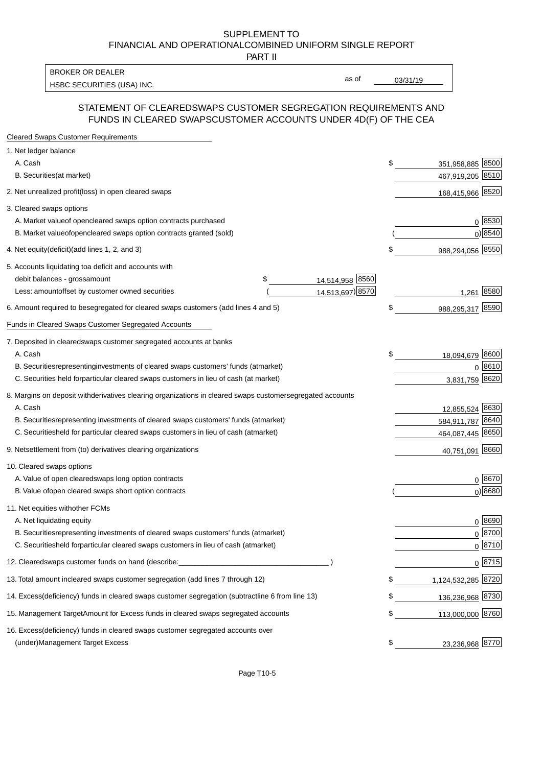PART II

HSBC SECURITIES (USA) INC. The contract of the contract of the contract of the contract of the contract of the contract of the contract of the contract of the contract of the contract of the contract of the contract of the BROKER OR DEALER

as of

### STATEMENT OF CLEARED SWAPS CUSTOMER SEGREGATION REQUIREMENTS AND FUNDS IN CLEARED SWAPS CUSTOMER ACCOUNTS UNDER 4D(F) OF THE CEA

| <b>Cleared Swaps Customer Requirements</b>                                                                  |                          |
|-------------------------------------------------------------------------------------------------------------|--------------------------|
| 1. Net ledger balance                                                                                       |                          |
| A. Cash                                                                                                     | \$<br>351,958,885 8500   |
| B. Securities (at market)                                                                                   | 467,919,205 8510         |
| 2. Net unrealized profit (loss) in open cleared swaps                                                       | 168,415,966 8520         |
| 3. Cleared swaps options                                                                                    |                          |
| A. Market value of open cleared swaps option contracts purchased                                            | 0   8530                 |
| B. Market value of open cleared swaps option contracts granted (sold)                                       | $0)$ 8540                |
| 4. Net equity (deficit) (add lines 1, 2, and 3)                                                             | \$<br>988,294,056 8550   |
| 5. Accounts liquidating to a deficit and accounts with                                                      |                          |
| 14,514,958 8560<br>debit balances - gross amount<br>\$                                                      |                          |
| 14,513,697) 8570<br>Less: amount offset by customer owned securities                                        | 1,261 8580               |
| 6. Amount required to be segregated for cleared swaps customers (add lines 4 and 5)                         | \$<br>988,295,317 8590   |
| Funds in Cleared Swaps Customer Segregated Accounts                                                         |                          |
| 7. Deposited in cleared swaps customer segregated accounts at banks                                         |                          |
| A. Cash                                                                                                     | \$<br>18,094,679 8600    |
| B. Securities representing investments of cleared swaps customers' funds (at market)                        | 0 8610                   |
| C. Securities held for particular cleared swaps customers in lieu of cash (at market)                       | 3,831,759 8620           |
| 8. Margins on deposit with derivatives clearing organizations in cleared swaps customer segregated accounts |                          |
| A. Cash                                                                                                     | 12,855,524 8630          |
| B. Securities representing investments of cleared swaps customers' funds (at market)                        | 584,911,787 8640         |
| C. Securities<br>held for particular cleared swaps customers in lieu of cash (at market)                    | 464,087,445 8650         |
| 9. Net settlement from (to) derivatives clearing organizations                                              | 40,751,091 8660          |
| 10. Cleared swaps options                                                                                   |                          |
| A. Value of open cleared swaps long option contracts                                                        | $0^{8670}$               |
| B. Value of open cleared swaps short option contracts                                                       | $0$ ) 8680               |
| 11. Net equities with other FCMs                                                                            |                          |
| A. Net liquidating equity                                                                                   | $0^{8690}$               |
| B. Securities representing investments of cleared swaps customers' funds (at market)                        | $0^{8700}$               |
| C. Securities held for particular cleared swaps customers in lieu of cash (at market)                       | 0 8710                   |
| 12. Cleared swaps customer funds on hand (describe:                                                         | $0 \;  8715 $            |
| 13. Total amount in cleared swaps customer segregation (add lines 7 through 12)                             | \$<br>1,124,532,285 8720 |
| 14. Excess (deficiency) funds in cleared swaps customer segregation (subtract line 6 from line 13)          | 136,236,968 8730         |
| 15. Management Target Amount for Excess funds in cleared swaps segregated accounts                          | \$<br>113,000,000 8760   |
| 16. Excess<br>(deficiency) funds in cleared swaps customer segregated accounts over                         |                          |
| <b>Management Target Excess</b><br>(under)                                                                  | \$<br>23,236,968 8770    |